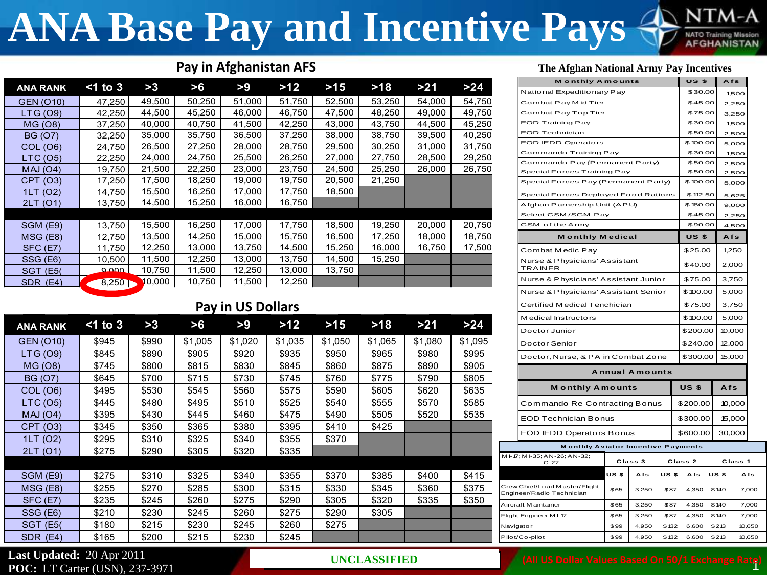## **ANA Base Pay and Incentive Pays**

## Pay in Afghanistan AFS

| <b>ANA RANK</b>  | $<$ 1 to 3 | >3     | >6     | >9     | $>12$  | $>15$  | $>18$  | >21    | >24    |
|------------------|------------|--------|--------|--------|--------|--------|--------|--------|--------|
| <b>GEN (O10)</b> | 47,250     | 49,500 | 50,250 | 51,000 | 51,750 | 52,500 | 53,250 | 54,000 | 54,750 |
| LTG (O9)         | 42,250     | 44,500 | 45,250 | 46,000 | 46,750 | 47,500 | 48,250 | 49,000 | 49,750 |
| MG (O8)          | 37,250     | 40,000 | 40,750 | 41,500 | 42,250 | 43,000 | 43,750 | 44,500 | 45,250 |
| <b>BG (O7)</b>   | 32,250     | 35,000 | 35,750 | 36,500 | 37,250 | 38,000 | 38,750 | 39,500 | 40,250 |
| COL (O6)         | 24,750     | 26,500 | 27,250 | 28,000 | 28,750 | 29,500 | 30,250 | 31,000 | 31,750 |
| LTC(05)          | 22,250     | 24,000 | 24,750 | 25,500 | 26,250 | 27,000 | 27,750 | 28,500 | 29,250 |
| MAJ(O4)          | 19,750     | 21,500 | 22,250 | 23,000 | 23,750 | 24,500 | 25,250 | 26,000 | 26,750 |
| CPT (03)         | 17,250     | 17,500 | 18,250 | 19,000 | 19,750 | 20,500 | 21,250 |        |        |
| 1LT (O2)         | 14,750     | 15,500 | 16,250 | 17,000 | 17,750 | 18,500 |        |        |        |
| 2LT (O1)         | 13,750     | 14,500 | 15,250 | 16,000 | 16,750 |        |        |        |        |
|                  |            |        |        |        |        |        |        |        |        |
| SGM (E9)         | 13,750     | 15,500 | 16,250 | 17,000 | 17,750 | 18,500 | 19,250 | 20,000 | 20,750 |
| $MSG$ (E8)       | 12,750     | 13,500 | 14,250 | 15,000 | 15,750 | 16,500 | 17,250 | 18,000 | 18,750 |
| $SFC$ (E7)       | 11,750     | 12,250 | 13,000 | 13,750 | 14,500 | 15,250 | 16,000 | 16,750 | 17,500 |
| SSG (E6)         | 10,500     | 11,500 | 12,250 | 13,000 | 13,750 | 14,500 | 15,250 |        |        |
| <b>SGT (E5)</b>  | $\Omega$   | 10,750 | 11,500 | 12,250 | 13,000 | 13,750 |        |        |        |
| SDR (E4)         | 8,250      | 10,000 | 10,750 | 11,500 | 12,250 |        |        |        |        |
|                  |            |        |        |        |        |        |        |        |        |

### **Pay in US Dollars**

| <b>ANA RANK</b>  | $<$ 1 to 3 | >3    | >6      | >9      | $>12$   | $>15$   | $>18$   | >21     | $>24$   |
|------------------|------------|-------|---------|---------|---------|---------|---------|---------|---------|
| <b>GEN (O10)</b> | \$945      | \$990 | \$1,005 | \$1,020 | \$1,035 | \$1,050 | \$1,065 | \$1,080 | \$1,095 |
| LTG (O9)         | \$845      | \$890 | \$905   | \$920   | \$935   | \$950   | \$965   | \$980   | \$995   |
| MG (O8)          | \$745      | \$800 | \$815   | \$830   | \$845   | \$860   | \$875   | \$890   | \$905   |
| <b>BG (O7)</b>   | \$645      | \$700 | \$715   | \$730   | \$745   | \$760   | \$775   | \$790   | \$805   |
| COL (06)         | \$495      | \$530 | \$545   | \$560   | \$575   | \$590   | \$605   | \$620   | \$635   |
| LTC (05)         | \$445      | \$480 | \$495   | \$510   | \$525   | \$540   | \$555   | \$570   | \$585   |
| MAJ(O4)          | \$395      | \$430 | \$445   | \$460   | \$475   | \$490   | \$505   | \$520   | \$535   |
| CPT (03)         | \$345      | \$350 | \$365   | \$380   | \$395   | \$410   | \$425   |         |         |
| 1LT (O2)         | \$295      | \$310 | \$325   | \$340   | \$355   | \$370   |         |         |         |
| 2LT (01)         | \$275      | \$290 | \$305   | \$320   | \$335   |         |         |         |         |
|                  |            |       |         |         |         |         |         |         |         |
| SGM (E9)         | \$275      | \$310 | \$325   | \$340   | \$355   | \$370   | \$385   | \$400   | \$415   |
| MSG (E8)         | \$255      | \$270 | \$285   | \$300   | \$315   | \$330   | \$345   | \$360   | \$375   |
| SFC (E7)         | \$235      | \$245 | \$260   | \$275   | \$290   | \$305   | \$320   | \$335   | \$350   |
| SSG (E6)         | \$210      | \$230 | \$245   | \$260   | \$275   | \$290   | \$305   |         |         |
| <b>SGT (E5)</b>  | \$180      | \$215 | \$230   | \$245   | \$260   | \$275   |         |         |         |
| SDR (E4)         | \$165      | \$200 | \$215   | \$230   | \$245   |         |         |         |         |

### Last Updated: 20 Apr 2011 **POC: LT Carter (USN), 237-3971**

**UNCLASSIFIED** 

#### The Afghan National Army Pay Incentives

| <b>Monthly Amounts</b>                    |                  |                       | <b>US \$</b> |                    | Afs          |          |                          |       |  |
|-------------------------------------------|------------------|-----------------------|--------------|--------------------|--------------|----------|--------------------------|-------|--|
| National Expeditionary Pay                |                  |                       | \$30.00      |                    |              | 1,500    |                          |       |  |
| Combat Pay Mid Tier                       |                  |                       |              |                    | \$45.00      |          |                          | 2,250 |  |
| Combat Pay Top Tier                       |                  |                       |              |                    | \$75.00      |          |                          | 3,250 |  |
| <b>EOD Training Pay</b>                   |                  |                       |              |                    | \$30.00      |          | 1,500<br>2,500           |       |  |
| EOD Technician                            |                  |                       |              |                    | \$50.00      |          |                          |       |  |
| <b>EOD IEDD Operators</b>                 |                  |                       |              |                    | \$100.00     |          | 5,000                    |       |  |
| Commando Training Pay                     |                  |                       |              |                    | \$30.00      |          | 1,500                    |       |  |
| Commando Pay (Permanent Party)            |                  | \$50.00               |              | 2,500              |              |          |                          |       |  |
| Special Forces Training Pay               |                  | \$50.00               |              |                    | 2,500        |          |                          |       |  |
| Special Forces Pay (Permanent Party)      |                  |                       | \$100.00     |                    |              | 5,000    |                          |       |  |
| Special Forces Deployed Food Rations      |                  |                       |              |                    | \$112.50     |          |                          | 5,625 |  |
| Afghan Parnership Unit (APU)              |                  |                       |              |                    | \$180.00     |          | 9,000                    |       |  |
| Select CSM/SGM Pay                        |                  |                       |              |                    | \$45.00      |          | 2,250                    |       |  |
| CSM of the Army                           |                  |                       |              |                    | \$90.00      | 4,500    |                          |       |  |
| <b>Monthly Medical</b>                    |                  |                       |              |                    | <b>US \$</b> |          | Afs                      |       |  |
| Combat Medic Pay                          |                  |                       |              |                    | \$25.00      | 1,250    |                          |       |  |
| Nurse & Physicians' Assistant<br>TRAINER  |                  |                       |              |                    | \$40.00      |          | 2,000                    |       |  |
| Nurse & Physicians' Assistant Junior      |                  |                       |              | \$75.00            |              |          | 3,750                    |       |  |
| Nurse & Physicians' Assistant Senior      |                  |                       |              |                    | \$100.00     |          | 5,000                    |       |  |
| Certified Medical Tenchician              |                  |                       |              |                    | \$75.00      |          | 3,750<br>5,000<br>10,000 |       |  |
| Medical Instructors                       |                  |                       |              |                    | \$100.00     |          |                          |       |  |
| Doctor Junior                             |                  |                       |              |                    | \$200.00     |          |                          |       |  |
| Doctor Senior                             |                  | \$240.00              |              | 12,000             |              |          |                          |       |  |
| Doctor, Nurse, & PA in Combat Zone        |                  | \$300.00              | 15,000       |                    |              |          |                          |       |  |
|                                           |                  | <b>Annual Amounts</b> |              |                    |              |          |                          |       |  |
| <b>Monthly Amounts</b>                    |                  |                       |              |                    | US \$        |          | Afs                      |       |  |
| Commando Re-Contracting Bonus             |                  | \$200.00              |              | 10,000             |              |          |                          |       |  |
| <b>EOD Technician Bonus</b>               |                  |                       |              |                    |              | \$300.00 | 15,000                   |       |  |
| <b>EOD IEDD Operators Bonus</b>           |                  |                       |              |                    | \$600.00     |          | 30,000                   |       |  |
| <b>Monthly Aviator Incentive Payments</b> |                  |                       |              |                    |              |          |                          |       |  |
| MI-17; MI-35; AN-26; AN-32;<br>$C-27$     | Class 3          |                       |              | Class <sub>2</sub> |              | Class 1  |                          |       |  |
|                                           |                  |                       |              |                    |              |          |                          |       |  |
|                                           | US <sub>\$</sub> | Afs                   | US \$        |                    | Afs          |          | US <sub>\$</sub>         | Afs   |  |

| Afs    |
|--------|
|        |
| 7,000  |
| 7.000  |
| 7.000  |
| 10.650 |
| 10.650 |
|        |